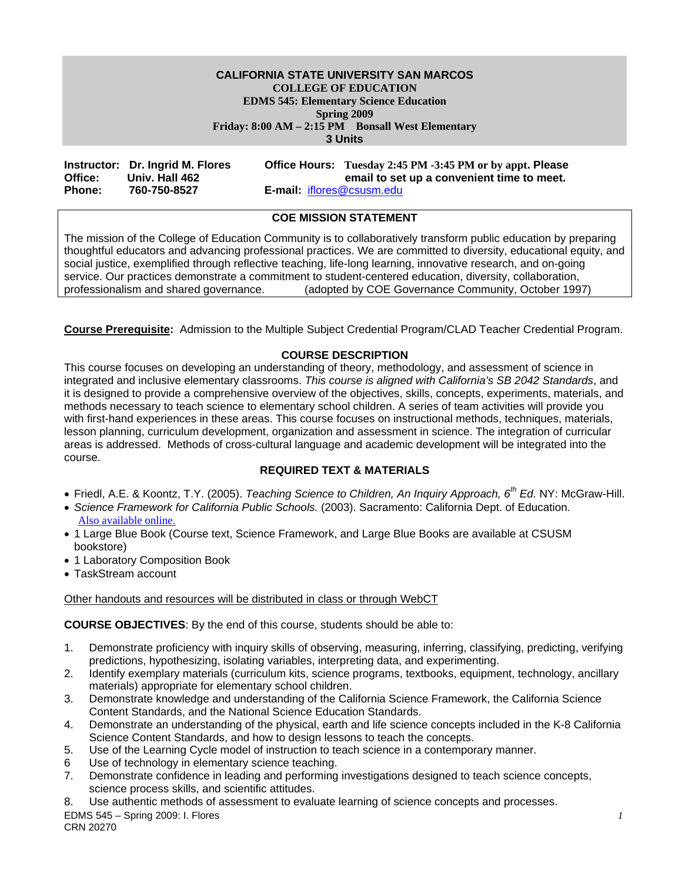#### **CALIFORNIA STATE UNIVERSITY SAN MARCOS COLLEGE OF EDUCATION EDMS 545: Elementary Science Education Spring 2009 Friday: 8:00 AM – 2:15 PM Bonsall West Elementary 3 Units**

|               | Instructor: Dr. Ingrid M. Flores |                                  | Office Hours: Tuesday 2:45 PM -3:45 PM or by appt. Please |
|---------------|----------------------------------|----------------------------------|-----------------------------------------------------------|
| Office:       | Univ. Hall 462                   |                                  | email to set up a convenient time to meet.                |
| <b>Phone:</b> | 760-750-8527                     | <b>E-mail:</b> iflores@csusm.edu |                                                           |

### **COE MISSION STATEMENT**

The mission of the College of Education Community is to collaboratively transform public education by preparing thoughtful educators and advancing professional practices. We are committed to diversity, educational equity, and social justice, exemplified through reflective teaching, life-long learning, innovative research, and on-going service. Our practices demonstrate a commitment to student-centered education, diversity, collaboration, professionalism and shared governance. (adopted by COE Governance Community, October 1997)

**Course Prerequisite:** Admission to the Multiple Subject Credential Program/CLAD Teacher Credential Program.

#### **COURSE DESCRIPTION**

This course focuses on developing an understanding of theory, methodology, and assessment of science in integrated and inclusive elementary classrooms. *This course is aligned with California's SB 2042 Standards*, and it is designed to provide a comprehensive overview of the objectives, skills, concepts, experiments, materials, and methods necessary to teach science to elementary school children. A series of team activities will provide you with first-hand experiences in these areas. This course focuses on instructional methods, techniques, materials, lesson planning, curriculum development, organization and assessment in science. The integration of curricular areas is addressed. Methods of cross-cultural language and academic development will be integrated into the course.

#### **REQUIRED TEXT & MATERIALS**

- Friedl, A.E. & Koontz, T.Y. (2005). *Teaching Science to Children, An Inquiry Approach, 6th Ed.* NY: McGraw-Hill.
- *Science Framework for California Public Schools.* (2003). Sacramento: California Dept. of Education. Also available online.
- 1 Large Blue Book (Course text, Science Framework, and Large Blue Books are available at CSUSM bookstore)
- 1 Laboratory Composition Book
- TaskStream account

#### Other handouts and resources will be distributed in class or through WebCT

**COURSE OBJECTIVES**: By the end of this course, students should be able to:

- 1. Demonstrate proficiency with inquiry skills of observing, measuring, inferring, classifying, predicting, verifying predictions, hypothesizing, isolating variables, interpreting data, and experimenting.
- 2. Identify exemplary materials (curriculum kits, science programs, textbooks, equipment, technology, ancillary materials) appropriate for elementary school children.
- 3. Demonstrate knowledge and understanding of the California Science Framework, the California Science Content Standards, and the National Science Education Standards.
- 4. Demonstrate an understanding of the physical, earth and life science concepts included in the K-8 California Science Content Standards, and how to design lessons to teach the concepts.
- 5. Use of the Learning Cycle model of instruction to teach science in a contemporary manner.
- 6 Use of technology in elementary science teaching.
- 7. Demonstrate confidence in leading and performing investigations designed to teach science concepts, science process skills, and scientific attitudes.
- 8. Use authentic methods of assessment to evaluate learning of science concepts and processes.

EDMS 545 – Spring 2009: I. Flores *1*  CRN 20270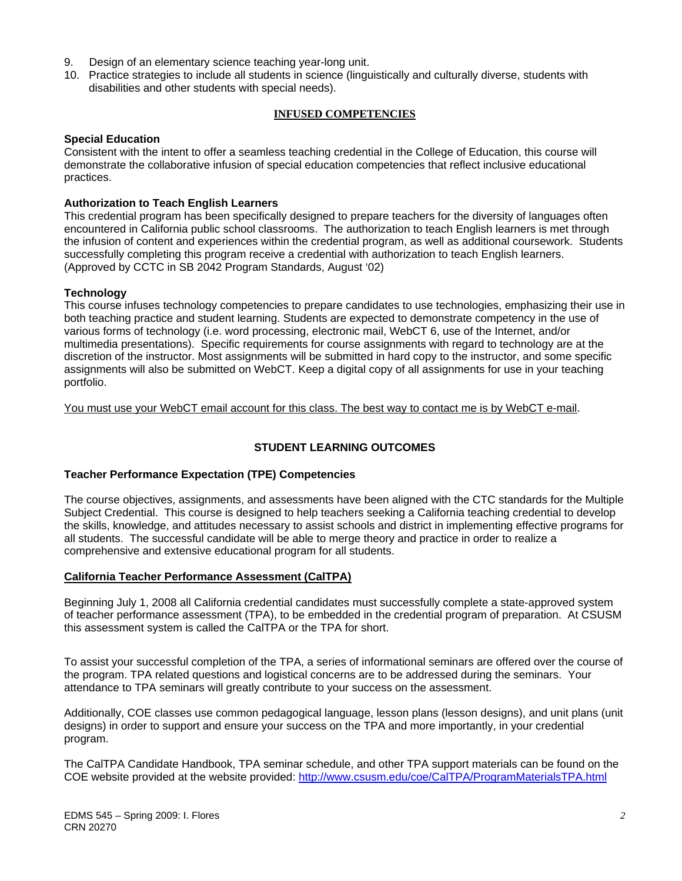- 9. Design of an elementary science teaching year-long unit.
- 10. Practice strategies to include all students in science (linguistically and culturally diverse, students with disabilities and other students with special needs).

#### **INFUSED COMPETENCIES**

#### **Special Education**

Consistent with the intent to offer a seamless teaching credential in the College of Education, this course will demonstrate the collaborative infusion of special education competencies that reflect inclusive educational practices.

#### **Authorization to Teach English Learners**

This credential program has been specifically designed to prepare teachers for the diversity of languages often encountered in California public school classrooms. The authorization to teach English learners is met through the infusion of content and experiences within the credential program, as well as additional coursework. Students successfully completing this program receive a credential with authorization to teach English learners. (Approved by CCTC in SB 2042 Program Standards, August '02)

#### **Technology**

This course infuses technology competencies to prepare candidates to use technologies, emphasizing their use in both teaching practice and student learning. Students are expected to demonstrate competency in the use of various forms of technology (i.e. word processing, electronic mail, WebCT 6, use of the Internet, and/or multimedia presentations). Specific requirements for course assignments with regard to technology are at the discretion of the instructor. Most assignments will be submitted in hard copy to the instructor, and some specific assignments will also be submitted on WebCT. Keep a digital copy of all assignments for use in your teaching portfolio.

You must use your WebCT email account for this class. The best way to contact me is by WebCT e-mail.

### **STUDENT LEARNING OUTCOMES**

#### **Teacher Performance Expectation (TPE) Competencies**

The course objectives, assignments, and assessments have been aligned with the CTC standards for the Multiple Subject Credential. This course is designed to help teachers seeking a California teaching credential to develop the skills, knowledge, and attitudes necessary to assist schools and district in implementing effective programs for all students. The successful candidate will be able to merge theory and practice in order to realize a comprehensive and extensive educational program for all students.

#### **California Teacher Performance Assessment (CalTPA)**

Beginning July 1, 2008 all California credential candidates must successfully complete a state-approved system of teacher performance assessment (TPA), to be embedded in the credential program of preparation. At CSUSM this assessment system is called the CalTPA or the TPA for short.

To assist your successful completion of the TPA, a series of informational seminars are offered over the course of the program. TPA related questions and logistical concerns are to be addressed during the seminars. Your attendance to TPA seminars will greatly contribute to your success on the assessment.

Additionally, COE classes use common pedagogical language, lesson plans (lesson designs), and unit plans (unit designs) in order to support and ensure your success on the TPA and more importantly, in your credential program.

The CalTPA Candidate Handbook, TPA seminar schedule, and other TPA support materials can be found on the COE website provided at the website provided: http://www.csusm.edu/coe/CalTPA/ProgramMaterialsTPA.html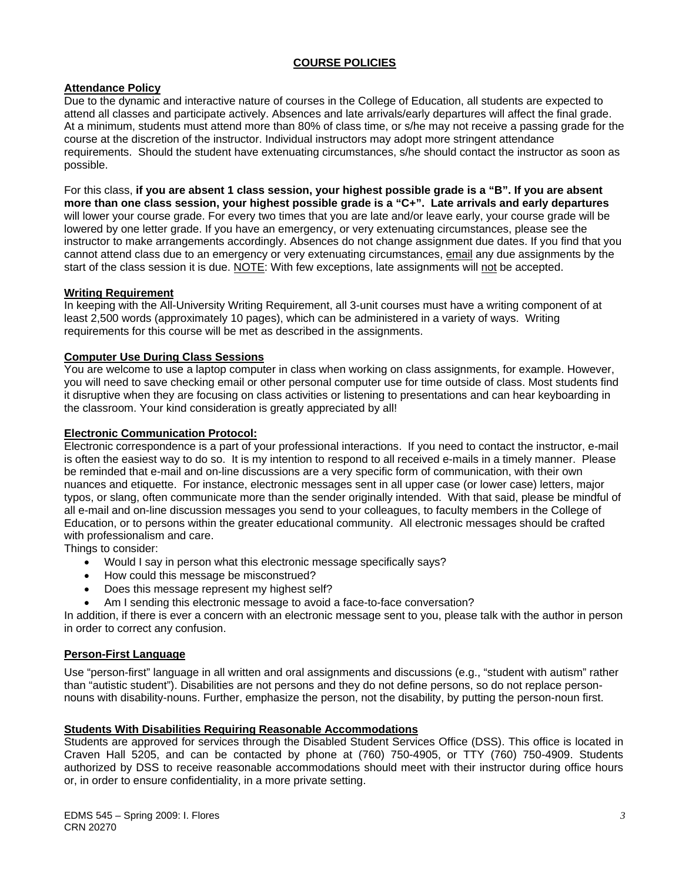### **COURSE POLICIES**

### **Attendance Policy**

Due to the dynamic and interactive nature of courses in the College of Education, all students are expected to attend all classes and participate actively. Absences and late arrivals/early departures will affect the final grade. At a minimum, students must attend more than 80% of class time, or s/he may not receive a passing grade for the course at the discretion of the instructor. Individual instructors may adopt more stringent attendance requirements. Should the student have extenuating circumstances, s/he should contact the instructor as soon as possible.

For this class, **if you are absent 1 class session, your highest possible grade is a "B". If you are absent more than one class session, your highest possible grade is a "C+". Late arrivals and early departures**  will lower your course grade. For every two times that you are late and/or leave early, your course grade will be lowered by one letter grade. If you have an emergency, or very extenuating circumstances, please see the instructor to make arrangements accordingly. Absences do not change assignment due dates. If you find that you cannot attend class due to an emergency or very extenuating circumstances, email any due assignments by the start of the class session it is due. NOTE: With few exceptions, late assignments will not be accepted.

#### **Writing Requirement**

In keeping with the All-University Writing Requirement, all 3-unit courses must have a writing component of at least 2,500 words (approximately 10 pages), which can be administered in a variety of ways. Writing requirements for this course will be met as described in the assignments.

#### **Computer Use During Class Sessions**

You are welcome to use a laptop computer in class when working on class assignments, for example. However, you will need to save checking email or other personal computer use for time outside of class. Most students find it disruptive when they are focusing on class activities or listening to presentations and can hear keyboarding in the classroom. Your kind consideration is greatly appreciated by all!

#### **Electronic Communication Protocol:**

Electronic correspondence is a part of your professional interactions. If you need to contact the instructor, e-mail is often the easiest way to do so. It is my intention to respond to all received e-mails in a timely manner. Please be reminded that e-mail and on-line discussions are a very specific form of communication, with their own nuances and etiquette. For instance, electronic messages sent in all upper case (or lower case) letters, major typos, or slang, often communicate more than the sender originally intended. With that said, please be mindful of all e-mail and on-line discussion messages you send to your colleagues, to faculty members in the College of Education, or to persons within the greater educational community. All electronic messages should be crafted with professionalism and care.

Things to consider:

- Would I say in person what this electronic message specifically says?
- How could this message be misconstrued?
- Does this message represent my highest self?
- Am I sending this electronic message to avoid a face-to-face conversation?

In addition, if there is ever a concern with an electronic message sent to you, please talk with the author in person in order to correct any confusion.

#### **Person-First Language**

Use "person-first" language in all written and oral assignments and discussions (e.g., "student with autism" rather than "autistic student"). Disabilities are not persons and they do not define persons, so do not replace personnouns with disability-nouns. Further, emphasize the person, not the disability, by putting the person-noun first.

#### **Students With Disabilities Requiring Reasonable Accommodations**

Students are approved for services through the Disabled Student Services Office (DSS). This office is located in Craven Hall 5205, and can be contacted by phone at (760) 750-4905, or TTY (760) 750-4909. Students authorized by DSS to receive reasonable accommodations should meet with their instructor during office hours or, in order to ensure confidentiality, in a more private setting.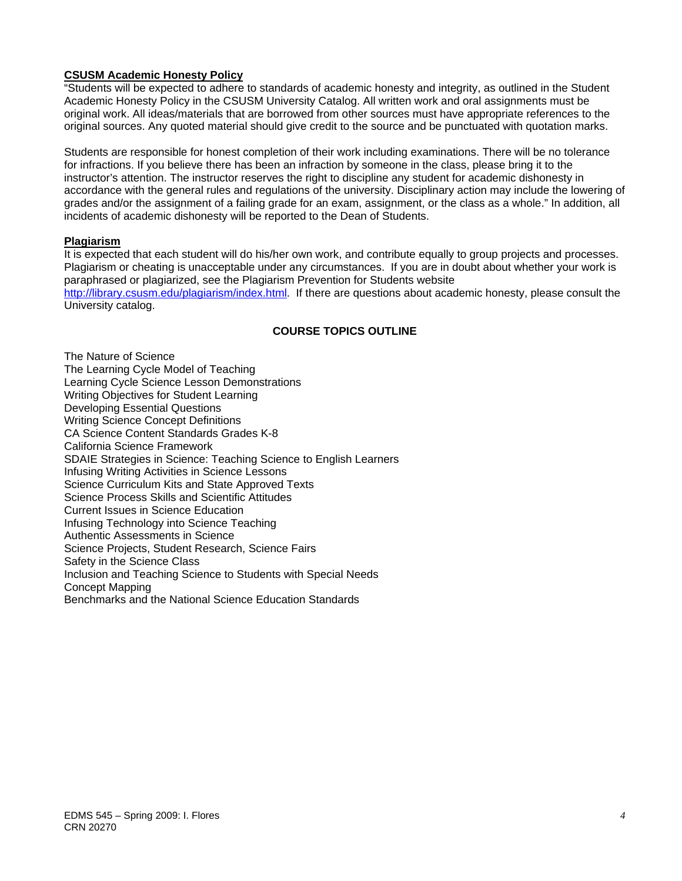#### **CSUSM Academic Honesty Policy**

"Students will be expected to adhere to standards of academic honesty and integrity, as outlined in the Student Academic Honesty Policy in the CSUSM University Catalog. All written work and oral assignments must be original work. All ideas/materials that are borrowed from other sources must have appropriate references to the original sources. Any quoted material should give credit to the source and be punctuated with quotation marks.

Students are responsible for honest completion of their work including examinations. There will be no tolerance for infractions. If you believe there has been an infraction by someone in the class, please bring it to the instructor's attention. The instructor reserves the right to discipline any student for academic dishonesty in accordance with the general rules and regulations of the university. Disciplinary action may include the lowering of grades and/or the assignment of a failing grade for an exam, assignment, or the class as a whole." In addition, all incidents of academic dishonesty will be reported to the Dean of Students.

#### **Plagiarism**

It is expected that each student will do his/her own work, and contribute equally to group projects and processes. Plagiarism or cheating is unacceptable under any circumstances. If you are in doubt about whether your work is paraphrased or plagiarized, see the Plagiarism Prevention for Students website http://library.csusm.edu/plagiarism/index.html. If there are questions about academic honesty, please consult the

University catalog.

#### **COURSE TOPICS OUTLINE**

The Nature of Science The Learning Cycle Model of Teaching Learning Cycle Science Lesson Demonstrations Writing Objectives for Student Learning Developing Essential Questions Writing Science Concept Definitions CA Science Content Standards Grades K-8 California Science Framework SDAIE Strategies in Science: Teaching Science to English Learners Infusing Writing Activities in Science Lessons Science Curriculum Kits and State Approved Texts Science Process Skills and Scientific Attitudes Current Issues in Science Education Infusing Technology into Science Teaching Authentic Assessments in Science Science Projects, Student Research, Science Fairs Safety in the Science Class Inclusion and Teaching Science to Students with Special Needs Concept Mapping Benchmarks and the National Science Education Standards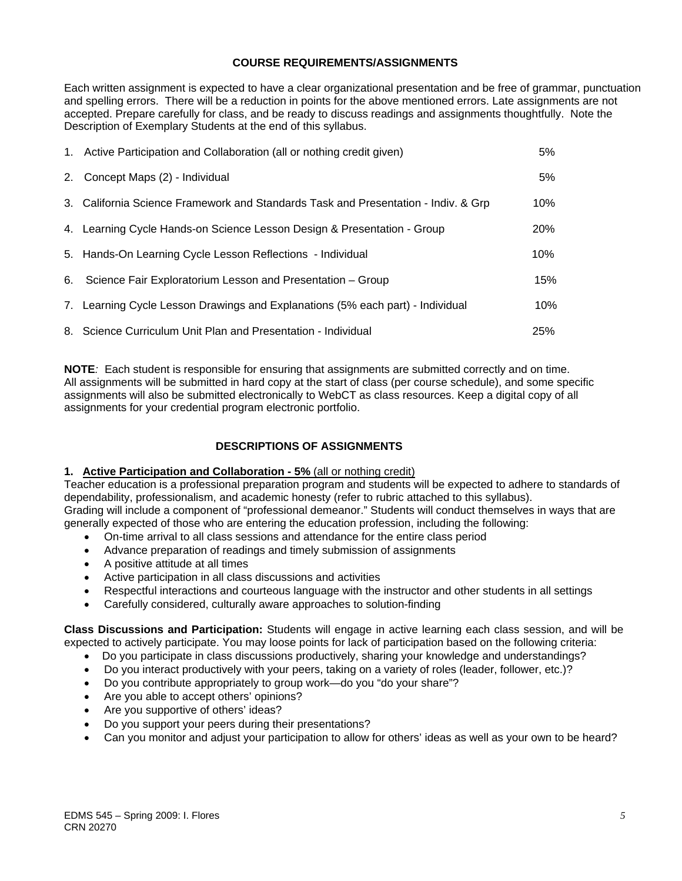#### **COURSE REQUIREMENTS/ASSIGNMENTS**

Each written assignment is expected to have a clear organizational presentation and be free of grammar, punctuation and spelling errors. There will be a reduction in points for the above mentioned errors. Late assignments are not accepted. Prepare carefully for class, and be ready to discuss readings and assignments thoughtfully. Note the Description of Exemplary Students at the end of this syllabus.

| 1. Active Participation and Collaboration (all or nothing credit given)            | 5%         |
|------------------------------------------------------------------------------------|------------|
| 2. Concept Maps (2) - Individual                                                   | 5%         |
| 3. California Science Framework and Standards Task and Presentation - Indiv. & Grp | 10%        |
| 4. Learning Cycle Hands-on Science Lesson Design & Presentation - Group            | <b>20%</b> |
| 5. Hands-On Learning Cycle Lesson Reflections - Individual                         | 10%        |
| 6. Science Fair Exploratorium Lesson and Presentation - Group                      | 15%        |
| 7. Learning Cycle Lesson Drawings and Explanations (5% each part) - Individual     | 10%        |
| 8. Science Curriculum Unit Plan and Presentation - Individual                      | 25%        |

**NOTE***:* Each student is responsible for ensuring that assignments are submitted correctly and on time. All assignments will be submitted in hard copy at the start of class (per course schedule), and some specific assignments will also be submitted electronically to WebCT as class resources. Keep a digital copy of all assignments for your credential program electronic portfolio.

# **DESCRIPTIONS OF ASSIGNMENTS**

#### **1. Active Participation and Collaboration - 5%** (all or nothing credit)

Teacher education is a professional preparation program and students will be expected to adhere to standards of dependability, professionalism, and academic honesty (refer to rubric attached to this syllabus). Grading will include a component of "professional demeanor." Students will conduct themselves in ways that are

- generally expected of those who are entering the education profession, including the following:
	- On-time arrival to all class sessions and attendance for the entire class period
	- Advance preparation of readings and timely submission of assignments
	- A positive attitude at all times
	- Active participation in all class discussions and activities
	- Respectful interactions and courteous language with the instructor and other students in all settings
	- Carefully considered, culturally aware approaches to solution-finding

**Class Discussions and Participation:** Students will engage in active learning each class session, and will be expected to actively participate. You may loose points for lack of participation based on the following criteria:

- Do you participate in class discussions productively, sharing your knowledge and understandings?
- Do you interact productively with your peers, taking on a variety of roles (leader, follower, etc.)?
- Do you contribute appropriately to group work—do you "do your share"?
- Are you able to accept others' opinions?
- Are you supportive of others' ideas?
- Do you support your peers during their presentations?
- Can you monitor and adjust your participation to allow for others' ideas as well as your own to be heard?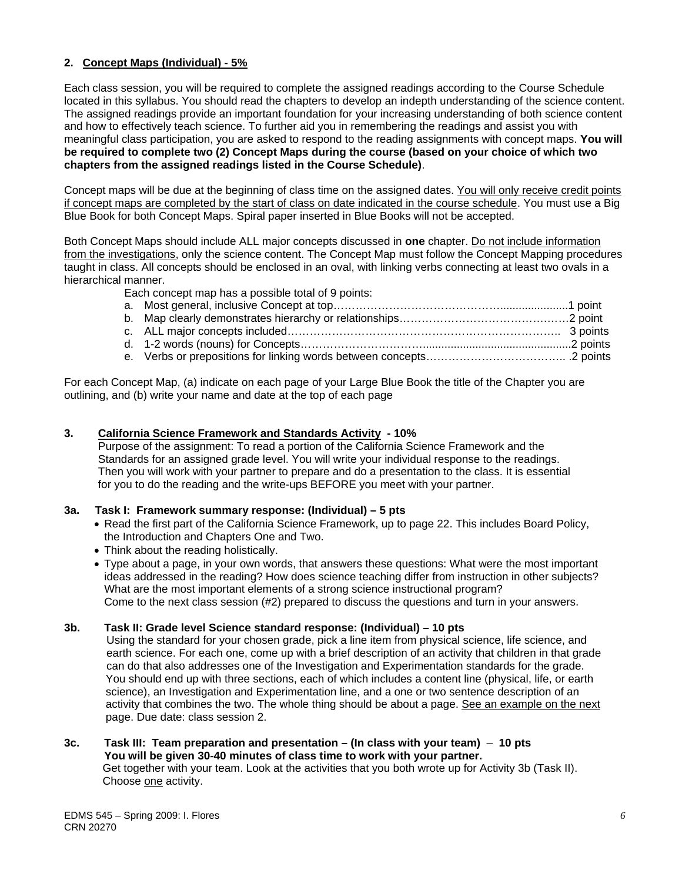#### **2. Concept Maps (Individual) - 5%**

Each class session, you will be required to complete the assigned readings according to the Course Schedule located in this syllabus. You should read the chapters to develop an indepth understanding of the science content. The assigned readings provide an important foundation for your increasing understanding of both science content and how to effectively teach science. To further aid you in remembering the readings and assist you with meaningful class participation, you are asked to respond to the reading assignments with concept maps. **You will be required to complete two (2) Concept Maps during the course (based on your choice of which two chapters from the assigned readings listed in the Course Schedule)**.

Concept maps will be due at the beginning of class time on the assigned dates. You will only receive credit points if concept maps are completed by the start of class on date indicated in the course schedule. You must use a Big Blue Book for both Concept Maps. Spiral paper inserted in Blue Books will not be accepted.

Both Concept Maps should include ALL major concepts discussed in **one** chapter. Do not include information from the investigations, only the science content. The Concept Map must follow the Concept Mapping procedures taught in class. All concepts should be enclosed in an oval, with linking verbs connecting at least two ovals in a hierarchical manner.

Each concept map has a possible total of 9 points:

For each Concept Map, (a) indicate on each page of your Large Blue Book the title of the Chapter you are outlining, and (b) write your name and date at the top of each page

#### **3. California Science Framework and Standards Activity - 10%**

 Purpose of the assignment: To read a portion of the California Science Framework and the Standards for an assigned grade level. You will write your individual response to the readings. Then you will work with your partner to prepare and do a presentation to the class. It is essential for you to do the reading and the write-ups BEFORE you meet with your partner.

#### **3a. Task I: Framework summary response: (Individual) – 5 pts**

- Read the first part of the California Science Framework, up to page 22. This includes Board Policy, the Introduction and Chapters One and Two.
- Think about the reading holistically.
- Type about a page, in your own words, that answers these questions: What were the most important ideas addressed in the reading? How does science teaching differ from instruction in other subjects? What are the most important elements of a strong science instructional program? Come to the next class session (#2) prepared to discuss the questions and turn in your answers.

#### **3b. Task II: Grade level Science standard response: (Individual) – 10 pts**

 Using the standard for your chosen grade, pick a line item from physical science, life science, and earth science. For each one, come up with a brief description of an activity that children in that grade can do that also addresses one of the Investigation and Experimentation standards for the grade. You should end up with three sections, each of which includes a content line (physical, life, or earth science), an Investigation and Experimentation line, and a one or two sentence description of an activity that combines the two. The whole thing should be about a page. See an example on the next page. Due date: class session 2.

#### **3c. Task III: Team preparation and presentation – (In class with your team)** – **10 pts You will be given 30-40 minutes of class time to work with your partner.**  Get together with your team. Look at the activities that you both wrote up for Activity 3b (Task II).

Choose one activity.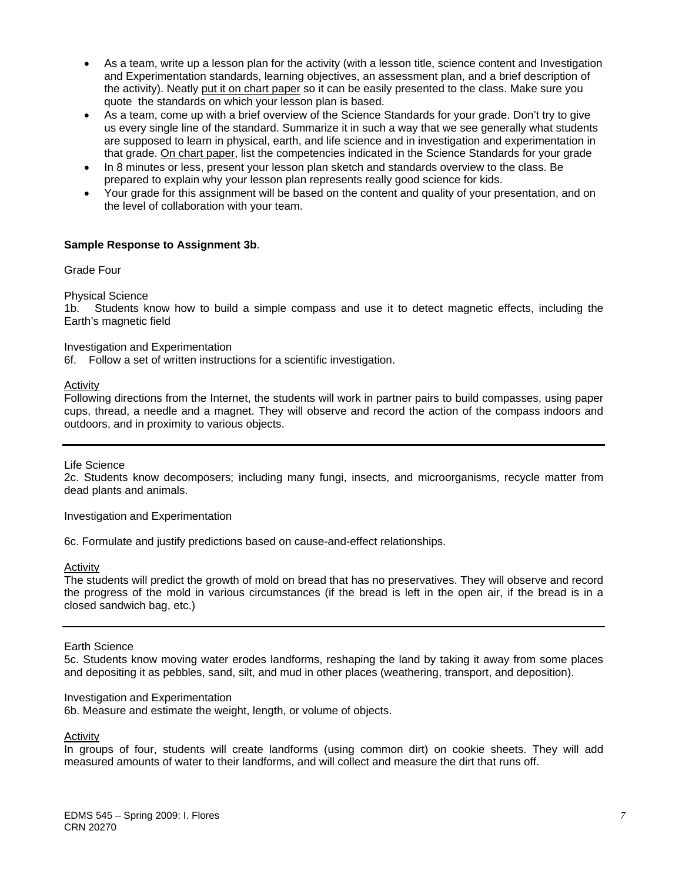- As a team, write up a lesson plan for the activity (with a lesson title, science content and Investigation and Experimentation standards, learning objectives, an assessment plan, and a brief description of the activity). Neatly put it on chart paper so it can be easily presented to the class. Make sure you quote the standards on which your lesson plan is based.
- As a team, come up with a brief overview of the Science Standards for your grade. Don't try to give us every single line of the standard. Summarize it in such a way that we see generally what students are supposed to learn in physical, earth, and life science and in investigation and experimentation in that grade. On chart paper, list the competencies indicated in the Science Standards for your grade
- In 8 minutes or less, present your lesson plan sketch and standards overview to the class. Be prepared to explain why your lesson plan represents really good science for kids.
- Your grade for this assignment will be based on the content and quality of your presentation, and on the level of collaboration with your team.

#### **Sample Response to Assignment 3b**.

Grade Four

Physical Science

1b. Students know how to build a simple compass and use it to detect magnetic effects, including the Earth's magnetic field

Investigation and Experimentation

6f. Follow a set of written instructions for a scientific investigation.

Activity

Following directions from the Internet, the students will work in partner pairs to build compasses, using paper cups, thread, a needle and a magnet. They will observe and record the action of the compass indoors and outdoors, and in proximity to various objects.

Life Science

2c. Students know decomposers; including many fungi, insects, and microorganisms, recycle matter from dead plants and animals.

Investigation and Experimentation

6c. Formulate and justify predictions based on cause-and-effect relationships.

Activity

 the progress of the mold in various circumstances (if the bread is left in the open air, if the bread is in a The students will predict the growth of mold on bread that has no preservatives. They will observe and record closed sandwich bag, etc.)

Earth Science

5c. Students know moving water erodes landforms, reshaping the land by taking it away from some places and depositing it as pebbles, sand, silt, and mud in other places (weathering, transport, and deposition).

#### Investigation and Experimentation

6b. Measure and estimate the weight, length, or volume of objects.

Activity

In groups of four, students will create landforms (using common dirt) on cookie sheets. They will add measured amounts of water to their landforms, and will collect and measure the dirt that runs off.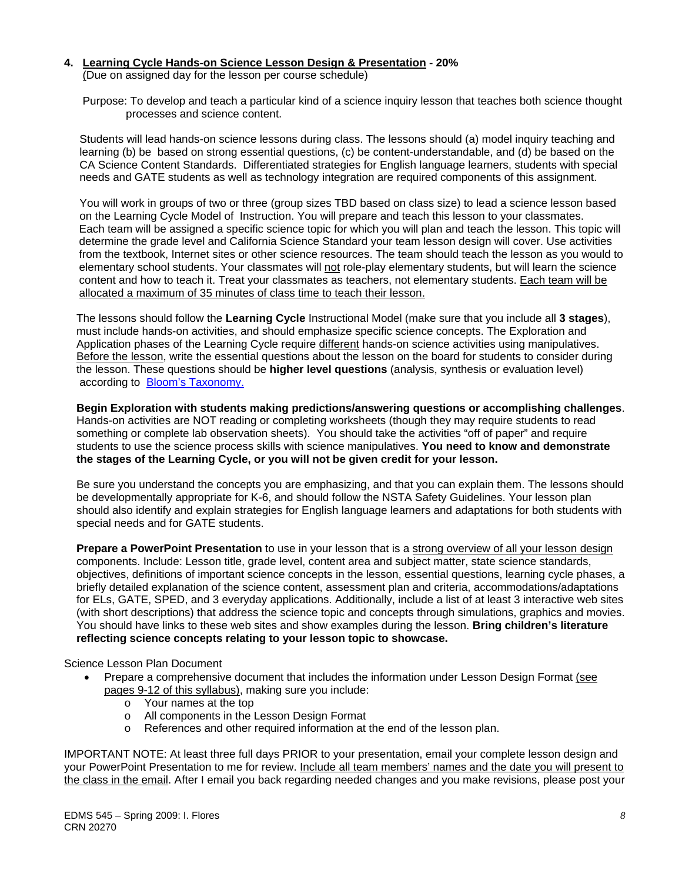# **4. Learning Cycle Hands-on Science Lesson Design & Presentation - 20%**

(Due on assigned day for the lesson per course schedule)

 Purpose: To develop and teach a particular kind of a science inquiry lesson that teaches both science thought processes and science content.

 Students will lead hands-on science lessons during class. The lessons should (a) model inquiry teaching and learning (b) be based on strong essential questions, (c) be content-understandable, and (d) be based on the CA Science Content Standards. Differentiated strategies for English language learners, students with special needs and GATE students as well as technology integration are required components of this assignment.

 You will work in groups of two or three (group sizes TBD based on class size) to lead a science lesson based on the Learning Cycle Model of Instruction. You will prepare and teach this lesson to your classmates. Each team will be assigned a specific science topic for which you will plan and teach the lesson. This topic will determine the grade level and California Science Standard your team lesson design will cover. Use activities from the textbook, Internet sites or other science resources. The team should teach the lesson as you would to elementary school students. Your classmates will not role-play elementary students, but will learn the science content and how to teach it. Treat your classmates as teachers, not elementary students. Each team will be allocated a maximum of 35 minutes of class time to teach their lesson.

 The lessons should follow the **Learning Cycle** Instructional Model (make sure that you include all **3 stages**), must include hands-on activities, and should emphasize specific science concepts. The Exploration and Application phases of the Learning Cycle require different hands-on science activities using manipulatives. Before the lesson, write the essential questions about the lesson on the board for students to consider during the lesson. These questions should be **higher level questions** (analysis, synthesis or evaluation level) according to Bloom's Taxonomy.

**Begin Exploration with students making predictions/answering questions or accomplishing challenges**. Hands-on activities are NOT reading or completing worksheets (though they may require students to read something or complete lab observation sheets). You should take the activities "off of paper" and require students to use the science process skills with science manipulatives. **You need to know and demonstrate the stages of the Learning Cycle, or you will not be given credit for your lesson.**

 Be sure you understand the concepts you are emphasizing, and that you can explain them. The lessons should be developmentally appropriate for K-6, and should follow the NSTA Safety Guidelines. Your lesson plan should also identify and explain strategies for English language learners and adaptations for both students with special needs and for GATE students.

 components. Include: Lesson title, grade level, content area and subject matter, state science standards, **Prepare a PowerPoint Presentation** to use in your lesson that is a strong overview of all your lesson design objectives, definitions of important science concepts in the lesson, essential questions, learning cycle phases, a briefly detailed explanation of the science content, assessment plan and criteria, accommodations/adaptations for ELs, GATE, SPED, and 3 everyday applications. Additionally, include a list of at least 3 interactive web sites (with short descriptions) that address the science topic and concepts through simulations, graphics and movies. You should have links to these web sites and show examples during the lesson. **Bring children's literature reflecting science concepts relating to your lesson topic to showcase.** 

Science Lesson Plan Document

- Prepare a comprehensive document that includes the information under Lesson Design Format (see pages 9-12 of this syllabus), making sure you include:
	- o Your names at the top
	- o All components in the Lesson Design Format
	- o References and other required information at the end of the lesson plan.

IMPORTANT NOTE: At least three full days PRIOR to your presentation, email your complete lesson design and your PowerPoint Presentation to me for review. Include all team members' names and the date you will present to the class in the email. After I email you back regarding needed changes and you make revisions, please post your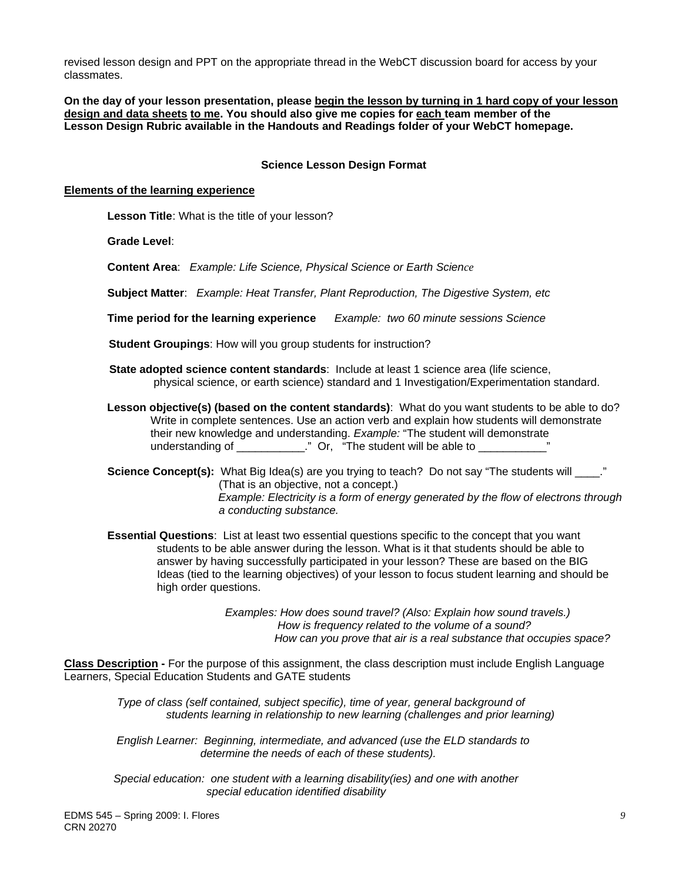classmates. revised lesson design and PPT on the appropriate thread in the WebCT discussion board for access by your

**On the day of your lesson presentation, please begin the lesson by turning in 1 hard copy of your lesson design and data sheets to me. You should also give me copies for each team member of the Lesson Design Rubric available in the Handouts and Readings folder of your WebCT homepage.** 

#### **Science Lesson Design Format**

#### **Elements of the learning experience**

 **Lesson Title**: What is the title of your lesson?

**Grade Level**:

**Content Area**: *Example: Life Science, Physical Science or Earth Science* 

**Subject Matter**: *Example: Heat Transfer, Plant Reproduction, The Digestive System, etc* 

**Time period for the learning experience** *Example: two 60 minute sessions Science* 

**Student Groupings**: How will you group students for instruction?

- **State adopted science content standards: Include at least 1 science area (life science,** physical science, or earth science) standard and 1 Investigation/Experimentation standard.
- **Lesson objective(s) (based on the content standards)**: What do you want students to be able to do? Write in complete sentences. Use an action verb and explain how students will demonstrate their new knowledge and understanding. *Example:* "The student will demonstrate understanding of \_\_\_\_\_\_\_\_\_\_\_\_." Or, "The student will be able to \_\_\_\_\_\_\_\_\_\_\_\_'

**Science Concept(s):** What Big Idea(s) are you trying to teach? Do not say "The students will  $\cdot$ ." (That is an objective, not a concept.) *Example: Electricity is a form of energy generated by the flow of electrons through a conducting substance.* 

 **Essential Questions**: List at least two essential questions specific to the concept that you want students to be able answer during the lesson. What is it that students should be able to answer by having successfully participated in your lesson? These are based on the BIG Ideas (tied to the learning objectives) of your lesson to focus student learning and should be high order questions.

> *Examples: How does sound travel? (Also: Explain how sound travels.) How is frequency related to the volume of a sound? How can you prove that air is a real substance that occupies space?*

**Class Description -** For the purpose of this assignment, the class description must include English Language Learners, Special Education Students and GATE students

*Type of class (self contained, subject specific), time of year, general background of students learning in relationship to new learning (challenges and prior learning)* 

 *English Learner: Beginning, intermediate, and advanced (use the ELD standards to determine the needs of each of these students).* 

 *Special education: one student with a learning disability(ies) and one with another special education identified disability*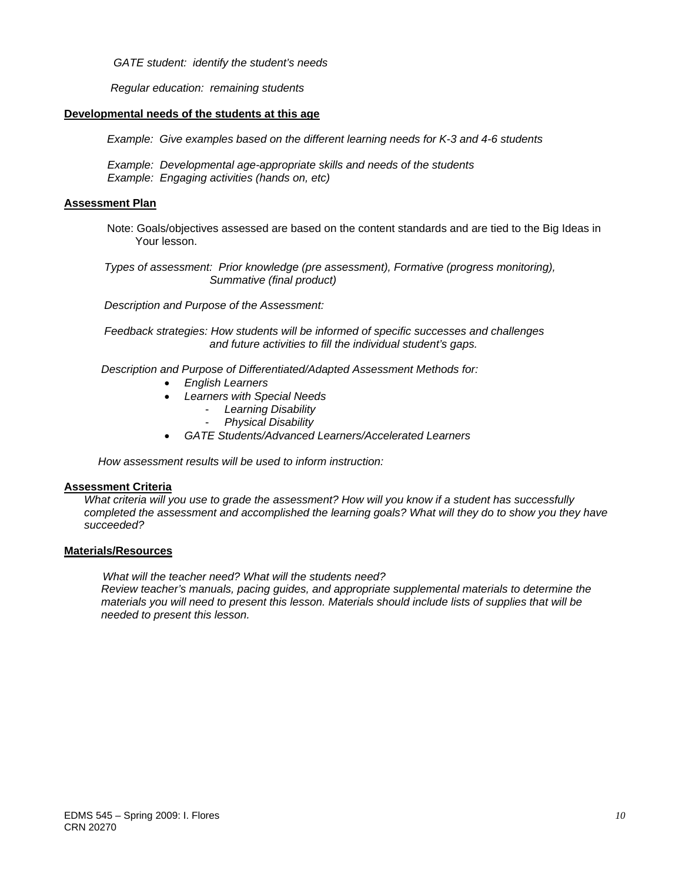*GATE student: identify the student's needs* 

 *Regular education: remaining students* 

#### **Developmental needs of the students at this age**

*Example: Give examples based on the different learning needs for K-3 and 4-6 students* 

 *Example: Developmental age-appropriate skills and needs of the students Example: Engaging activities (hands on, etc)* 

#### **Assessment Plan**

Note: Goals/objectives assessed are based on the content standards and are tied to the Big Ideas in Your lesson.

 *Types of assessment: Prior knowledge (pre assessment), Formative (progress monitoring), Summative (final product)* 

 *Description and Purpose of the Assessment:* 

 *Feedback strategies: How students will be informed of specific successes and challenges and future activities to fill the individual student's gaps.*

 *Description and Purpose of Differentiated/Adapted Assessment Methods for:* 

- *English Learners*
- *Learners with Special Needs* 
	- *Learning Disability*
	- *Physical Disability*
- *GATE Students/Advanced Learners/Accelerated Learners*

 *How assessment results will be used to inform instruction:*

#### **Assessment Criteria**

*What criteria will you use to grade the assessment? How will you know if a student has successfully completed the assessment and accomplished the learning goals? What will they do to show you they have succeeded?* 

#### **Materials/Resources**

 *What will the teacher need? What will the students need? Review teacher's manuals, pacing guides, and appropriate supplemental materials to determine the materials you will need to present this lesson. Materials should include lists of supplies that will be needed to present this lesson.*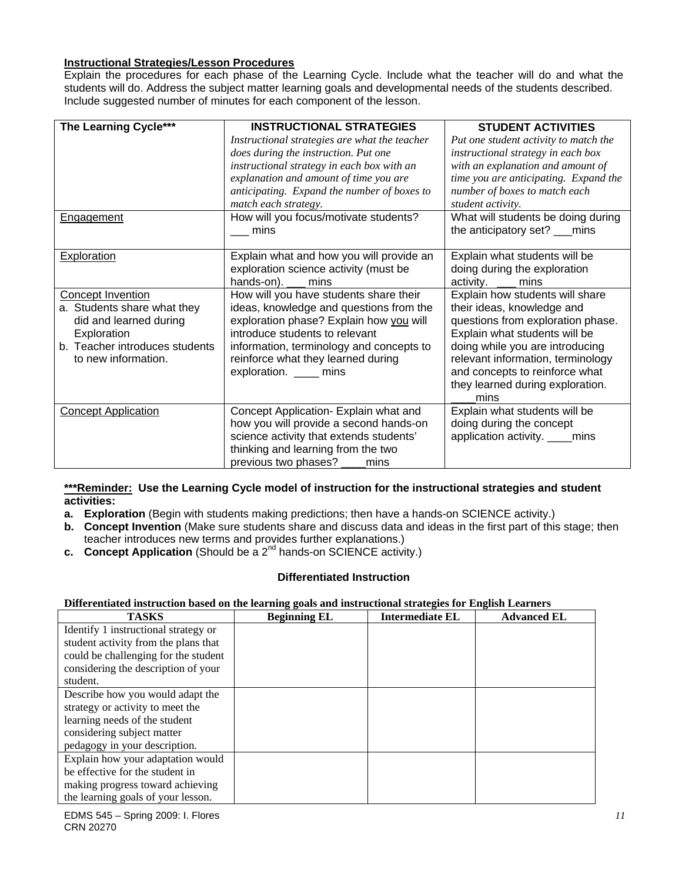### **Instructional Strategies/Lesson Procedures**

Explain the procedures for each phase of the Learning Cycle. Include what the teacher will do and what the Explain the procedures for each phase of the Learning Cycle. Include what the teacher will do and what the<br>students will do. Address the subject matter learning goals and developmental needs of the students described.<br>Incl

| The Learning Cycle***          | <b>INSTRUCTIONAL STRATEGIES</b>               | <b>STUDENT ACTIVITIES</b>             |
|--------------------------------|-----------------------------------------------|---------------------------------------|
|                                | Instructional strategies are what the teacher | Put one student activity to match the |
|                                | does during the instruction. Put one          | instructional strategy in each box    |
|                                | instructional strategy in each box with an    | with an explanation and amount of     |
|                                | explanation and amount of time you are        | time you are anticipating. Expand the |
|                                | anticipating. Expand the number of boxes to   | number of boxes to match each         |
|                                | match each strategy.                          | student activity.                     |
| <b>Engagement</b>              | How will you focus/motivate students?         | What will students be doing during    |
|                                | mins                                          | the anticipatory set? ___mins         |
|                                |                                               |                                       |
| <b>Exploration</b>             | Explain what and how you will provide an      | Explain what students will be         |
|                                | exploration science activity (must be         | doing during the exploration          |
|                                | hands-on). ___ mins                           | activity. <u>__</u> mins              |
| <b>Concept Invention</b>       | How will you have students share their        | Explain how students will share       |
| a. Students share what they    | ideas, knowledge and questions from the       | their ideas, knowledge and            |
| did and learned during         | exploration phase? Explain how you will       | questions from exploration phase.     |
| Exploration                    | introduce students to relevant                | Explain what students will be         |
| b. Teacher introduces students | information, terminology and concepts to      | doing while you are introducing       |
| to new information.            | reinforce what they learned during            | relevant information, terminology     |
|                                | exploration. ____ mins                        | and concepts to reinforce what        |
|                                |                                               | they learned during exploration.      |
|                                |                                               | mins                                  |
| <b>Concept Application</b>     | Concept Application- Explain what and         | Explain what students will be         |
|                                | how you will provide a second hands-on        | doing during the concept              |
|                                | science activity that extends students'       | application activity. ____mins        |
|                                | thinking and learning from the two            |                                       |
|                                | previous two phases? ____<br>mins             |                                       |

#### **\*\*\*Reminder: Use the Learning Cycle model of instruction for the instructional strategies and student activities:**

- **a. Exploration** (Begin with students making predictions; then have a hands-on SCIENCE activity.)
- **b. Concept Invention** (Make sure students share and discuss data and ideas in the first part of this stage; then teacher introduces new terms and provides further explanations.)
- **c.** Concept Application (Should be a 2<sup>nd</sup> hands-on SCIENCE activity.)

#### **Differentiated Instruction**

#### **Differentiated instruction based on the learning goals and instructional strategies for English Learners**

| <b>TASKS</b>                         | <b>Beginning EL</b> | <b>Intermediate EL</b> | <b>Advanced EL</b> |
|--------------------------------------|---------------------|------------------------|--------------------|
| Identify 1 instructional strategy or |                     |                        |                    |
| student activity from the plans that |                     |                        |                    |
| could be challenging for the student |                     |                        |                    |
| considering the description of your  |                     |                        |                    |
| student.                             |                     |                        |                    |
| Describe how you would adapt the     |                     |                        |                    |
| strategy or activity to meet the     |                     |                        |                    |
| learning needs of the student        |                     |                        |                    |
| considering subject matter           |                     |                        |                    |
| pedagogy in your description.        |                     |                        |                    |
| Explain how your adaptation would    |                     |                        |                    |
| be effective for the student in      |                     |                        |                    |
| making progress toward achieving     |                     |                        |                    |
| the learning goals of your lesson.   |                     |                        |                    |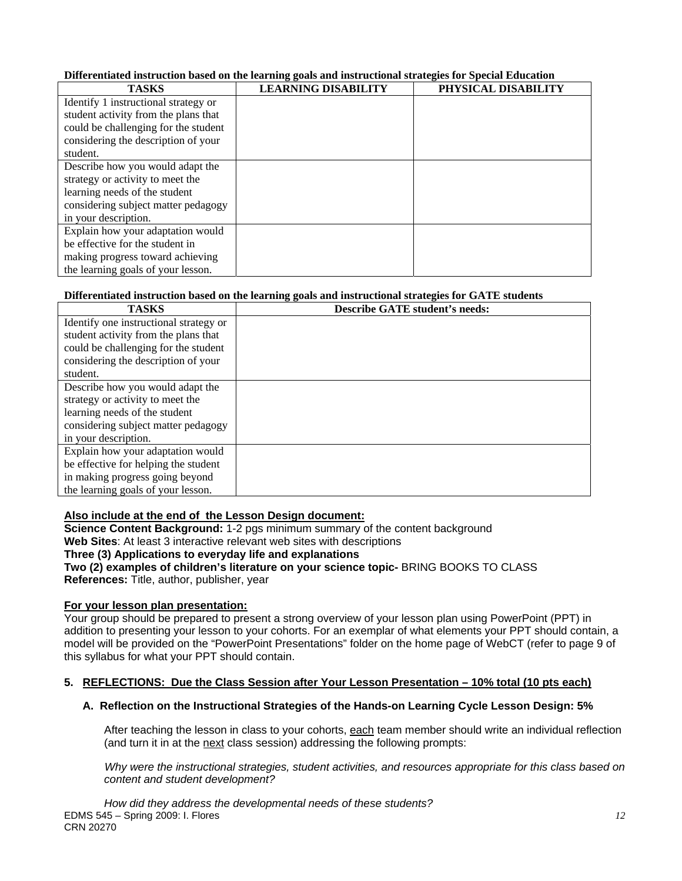# **Differentiated instruction based on the learning goals and instructional strategies for Special Education**

| <b>TASKS</b>                         | <b>LEARNING DISABILITY</b> | PHYSICAL DISABILITY |
|--------------------------------------|----------------------------|---------------------|
| Identify 1 instructional strategy or |                            |                     |
| student activity from the plans that |                            |                     |
| could be challenging for the student |                            |                     |
| considering the description of your  |                            |                     |
| student.                             |                            |                     |
| Describe how you would adapt the     |                            |                     |
| strategy or activity to meet the     |                            |                     |
| learning needs of the student        |                            |                     |
| considering subject matter pedagogy  |                            |                     |
| in your description.                 |                            |                     |
| Explain how your adaptation would    |                            |                     |
| be effective for the student in      |                            |                     |
| making progress toward achieving     |                            |                     |
| the learning goals of your lesson.   |                            |                     |

| Differentiated instruction based on the learning goals and instructional strategies for GATE students |                                       |  |  |  |
|-------------------------------------------------------------------------------------------------------|---------------------------------------|--|--|--|
| <b>TASKS</b>                                                                                          | <b>Describe GATE student's needs:</b> |  |  |  |
| Identify one instructional strategy or                                                                |                                       |  |  |  |
| student activity from the plans that                                                                  |                                       |  |  |  |
| could be challenging for the student                                                                  |                                       |  |  |  |
| considering the description of your                                                                   |                                       |  |  |  |
| student.                                                                                              |                                       |  |  |  |
| Describe how you would adapt the                                                                      |                                       |  |  |  |
| strategy or activity to meet the                                                                      |                                       |  |  |  |
| learning needs of the student                                                                         |                                       |  |  |  |
| considering subject matter pedagogy                                                                   |                                       |  |  |  |
| in your description.                                                                                  |                                       |  |  |  |
| Explain how your adaptation would                                                                     |                                       |  |  |  |
| be effective for helping the student                                                                  |                                       |  |  |  |
| in making progress going beyond                                                                       |                                       |  |  |  |
| the learning goals of your lesson.                                                                    |                                       |  |  |  |

#### **Also include at the end of the Lesson Design document:**

**Science Content Background:** 1-2 pgs minimum summary of the content background **Web Sites**: At least 3 interactive relevant web sites with descriptions

# Three (3) Applications to everyday life and explanations

Two (2) examples of children's literature on your science topic- BRING BOOKS TO CLASS

**References:** Title, author, publisher, year

#### **For your lesson plan presentation:**

Your group should be prepared to present a strong overview of your lesson plan using PowerPoint (PPT) in addition to presenting your lesson to your cohorts. For an exemplar of what elements your PPT should contain, a model will be provided on the "PowerPoint Presentations" folder on the home page of WebCT (refer to page 9 of this syllabus for what your PPT should contain.

#### **5. REFLECTIONS: Due the Class Session after Your Lesson Presentation – 10% total (10 pts each)**

#### **A. Reflection on the Instructional Strategies of the Hands-on Learning Cycle Lesson Design: 5%**

After teaching the lesson in class to your cohorts, <u>each</u> team member should write an individual reflection<br>(and turn it in at the <u>next</u> class session) addressing the following prompts:

content and student development? *content and student development? How did they address the developmental needs of these students? Why were the instructional strategies, student activities, and resources appropriate for this class based on*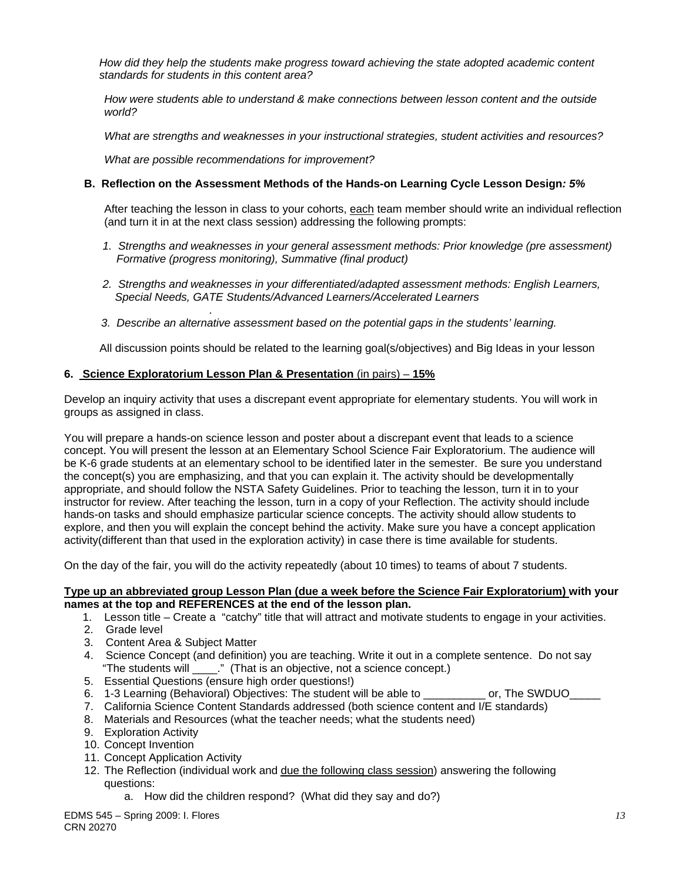standards for students in this content area? *How did they help the students make progress toward achieving the state adopted academic content* 

*standards for students in this content area? How were students able to understand & make connections between lesson content and the outside world?* 

*What are strengths and weaknesses in your instructional strategies, student activities and resources?* 

 *What are possible recommendations for improvement?* 

#### **B. Reflection on the Assessment Methods of the Hands-on Learning Cycle Lesson Design***: 5%*

After teaching the lesson in class to your cohorts, each team member should write an individual reflection (and turn it in at the next class session) addressing the following prompts:

- 1. Strengths and weaknesses in your general assessment methods: Prior knowledge (pre assessment)  *Formative (progress monitoring), Summative (final product)*
- *2. Strengths and weaknesses in your differentiated/adapted assessment methods: English Learners, Special Needs, GATE Students/Advanced Learners/Accelerated Learners*
- *3. Describe an alternative assessment based on the potential gaps in the students' learning.*

All discussion points should be related to the learning goal(s/objectives) and Big Ideas in your lesson

#### **6. Science Exploratorium Lesson Plan & Presentation** (in pairs) – **15%**

*.*

Develop an inquiry activity that uses a discrepant event appropriate for elementary students. You will work in groups as assigned in class.

You will prepare a hands-on science lesson and poster about a discrepant event that leads to a science concept. You will present the lesson at an Elementary School Science Fair Exploratorium. The audience will be K-6 grade students at an elementary school to be identified later in the semester. Be sure you understand the concept(s) you are emphasizing, and that you can explain it. The activity should be developmentally appropriate, and should follow the NSTA Safety Guidelines. Prior to teaching the lesson, turn it in to your instructor for review. After teaching the lesson, turn in a copy of your Reflection. The activity should include hands-on tasks and should emphasize particular science concepts. The activity should allow students to explore, and then you will explain the concept behind the activity. Make sure you have a concept application activity(different than that used in the exploration activity) in case there is time available for students.

On the day of the fair, you will do the activity repeatedly (about 10 times) to teams of about 7 students.

#### **Type up an abbreviated group Lesson Plan (due a week before the Science Fair Exploratorium) with your names at the top and REFERENCES at the end of the lesson plan.**

- 1. Lesson title Create a "catchy" title that will attract and motivate students to engage in your activities.
- 2. Grade level
- 3. Content Area & Subject Matter
- 4. Science Concept (and definition) you are teaching. Write it out in a complete sentence. Do not say "The students will \_\_\_\_." (That is an objective, not a science concept.)
- 5. Essential Questions (ensure high order questions!)
- 6. 1-3 Learning (Behavioral) Objectives: The student will be able to example or, The SWDUO
- 7. California Science Content Standards addressed (both science content and I/E standards)
- 8. Materials and Resources (what the teacher needs; what the students need)
- 9. Exploration Activity
- 10. Concept Invention
- 11. Concept Application Activity
- 12. The Reflection (individual work and due the following class session) answering the following questions:
	- a. How did the children respond? (What did they say and do?)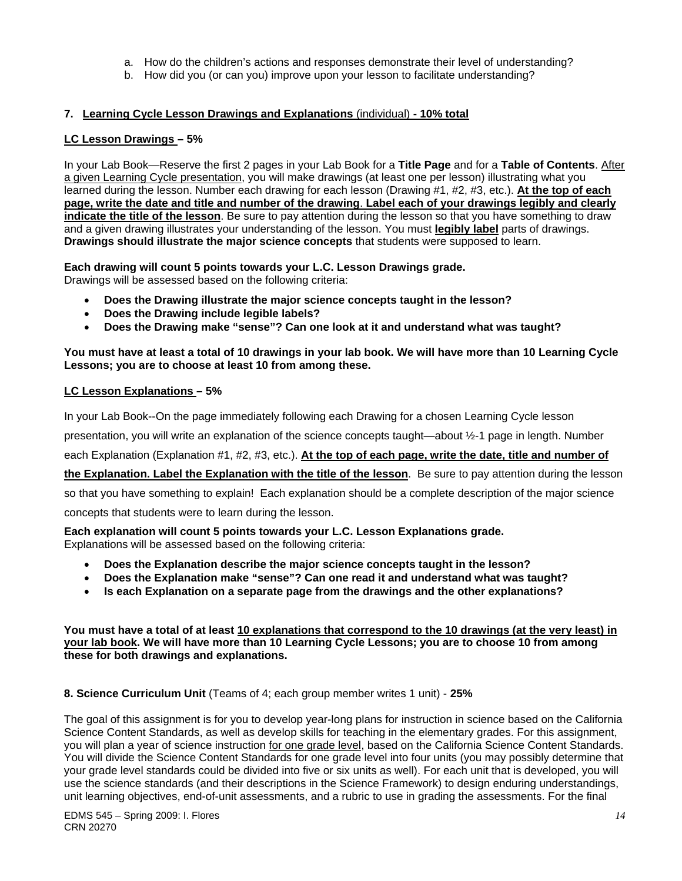- a. How do the children's actions and responses demonstrate their level of understanding?
- b. How did you (or can you) improve upon your lesson to facilitate understanding?

# 7. <u>Learning Cycle Lesson Drawings and Explanations (individual) - 10% total</u><br>LC Lesson Drawings – 5%

In your Lab Book—Reserve the first 2 pages in your Lab Book for a **Title Page** and for a **Table of Contents**. After a given Learning Cycle presentation, you will make drawings (at least one per lesson) illustrating what you learned during the lesson. Number each drawing for each lesson (Drawing #1, #2, #3, etc.). **At the top of each page, write the date and title and number of the drawing**. **Label each of your drawings legibly and clearly indicate the title of the lesson**. Be sure to pay attention during the lesson so that you have something to draw and a given drawing illustrates your understanding of the lesson. You must **legibly label** parts of drawings. **Drawings should illustrate the major science concepts** that students were supposed to learn.

**Each drawing will count 5 points towards your L.C. Lesson Drawings grade.**  Drawings will be assessed based on the following criteria:

- **Does the Drawing illustrate the major science concepts taught in the lesson?**
- **Does the Drawing include legible labels?**
- **Does the Drawing make "sense"? Can one look at it and understand what was taught?**

#### **You must have at least a total of 10 drawings in your lab book. We will have more than 10 Learning Cycle Lessons; you are to choose at least 10 from among these.**

#### **LC Lesson Explanations – 5%**

In your Lab Book--On the page immediately following each Drawing for a chosen Learning Cycle lesson

presentation, you will write an explanation of the science concepts taught—about ½-1 page in length. Number

each Explanation (Explanation #1, #2, #3, etc.). At the top of each page, write the date, title and number of

**the Explanation. Label the Explanation with the title of the lesson**. Be sure to pay attention during the lesson

so that you have something to explain! Each explanation should be a complete description of the major science

concepts that students were to learn during the lesson.

**Each explanation will count 5 points towards your L.C. Lesson Explanations grade.**  Explanations will be assessed based on the following criteria:

- **Does the Explanation describe the major science concepts taught in the lesson?**
- **Does the Explanation make "sense"? Can one read it and understand what was taught?**
- **Is each Explanation on a separate page from the drawings and the other explanations?**

**You must have a total of at least 10 explanations that correspond to the 10 drawings (at the very least) in your lab book. We will have more than 10 Learning Cycle Lessons; you are to choose 10 from among these for both drawings and explanations.** 

 **8. Science Curriculum Unit** (Teams of 4; each group member writes 1 unit) - **25%** 

The goal of this assignment is for you to develop year-long plans for instruction in science based on the California Science Content Standards, as well as develop skills for teaching in the elementary grades. For this assignment, you will plan a year of science instruction for one grade level, based on the California Science Content Standards. You will divide the Science Content Standards for one grade level into four units (you may possibly determine that your grade level standards could be divided into five or six units as well). For each unit that is developed, you will use the science standards (and their descriptions in the Science Framework) to design enduring understandings, unit learning objectives, end-of-unit assessments, and a rubric to use in grading the assessments. For the final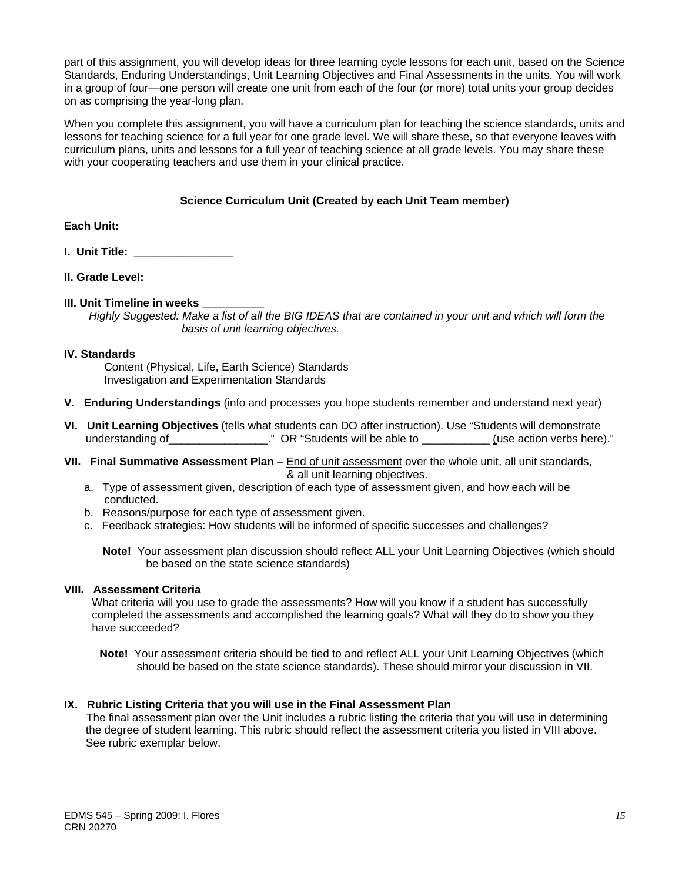part of this assignment, you will develop ideas for three learning cycle lessons for each unit, based on the Science Standards, Enduring Understandings, Unit Learning Objectives and Final Assessments in the units. You will work in a group of four—one person will create one unit from each of the four (or more) total units your group decides on as comprising the year-long plan.

When you complete this assignment, you will have a curriculum plan for teaching the science standards, units and lessons for teaching science for a full year for one grade level. We will share these, so that everyone leaves with curriculum plans, units and lessons for a full year of teaching science at all grade levels. You may share these with your cooperating teachers and use them in your clinical practice.

### **Science Curriculum Unit (Created by each Unit Team member)**

**Each Unit:** 

- **I. Unit Title: \_\_\_\_\_\_\_\_\_\_\_\_\_\_\_\_**
- **II. Grade Level:**
- **III. Unit Timeline in weeks**

*Highly Suggested: Make a list of all the BIG IDEAS that are contained in your unit and which will form the basis of unit learning objectives.* 

#### **IV. Standards**

Content (Physical, Life, Earth Science) Standards Investigation and Experimentation Standards

- **V. Enduring Understandings** (info and processes you hope students remember and understand next year)
- **VI. Unit Learning Objectives** (tells what students can DO after instruction). Use "Students will demonstrate understanding of\_\_\_\_\_\_\_\_\_\_\_\_\_\_\_\_." OR "Students will be able to \_\_\_\_\_\_\_\_\_\_\_\_\_(use action verbs here)."
- **VII. Final Summative Assessment Plan**  End of unit assessment over the whole unit, all unit standards, & all unit learning objectives.
	- a. Type of assessment given, description of each type of assessment given, and how each will be conducted.
	- b. Reasons/purpose for each type of assessment given.
	- c. Feedback strategies: How students will be informed of specific successes and challenges?
		- **Note!** Your assessment plan discussion should reflect ALL your Unit Learning Objectives (which should be based on the state science standards)

#### **VIII. Assessment Criteria**

What criteria will you use to grade the assessments? How will you know if a student has successfully completed the assessments and accomplished the learning goals? What will they do to show you they have succeeded?

**Note!** Your assessment criteria should be tied to and reflect ALL your Unit Learning Objectives (which should be based on the state science standards). These should mirror your discussion in VII.

#### **IX. Rubric Listing Criteria that you will use in the Final Assessment Plan**

The final assessment plan over the Unit includes a rubric listing the criteria that you will use in determining the degree of student learning. This rubric should reflect the assessment criteria you listed in VIII above. See rubric exemplar below.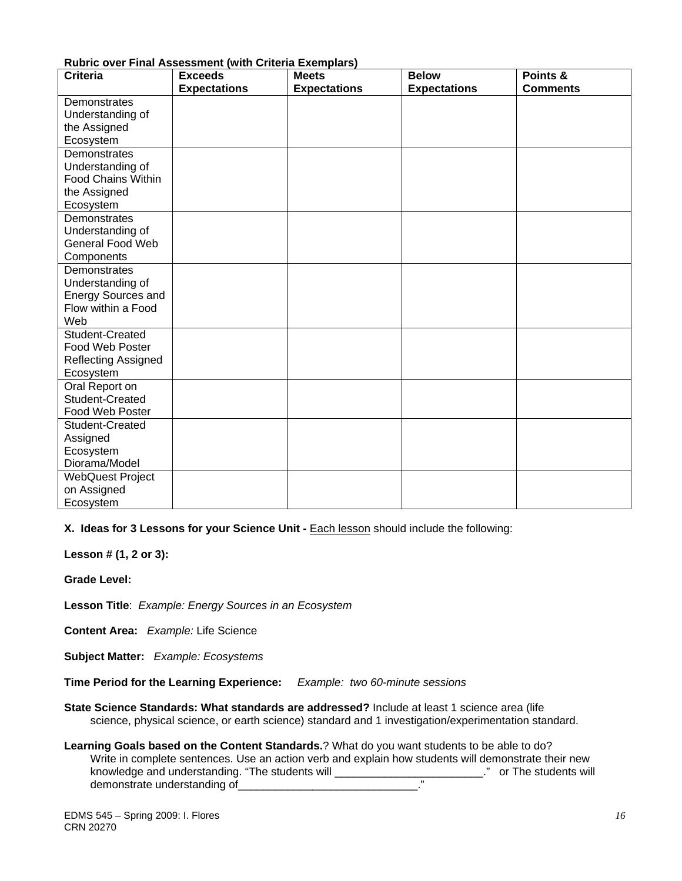| <b>Criteria</b>                    | $\sim$ 0.0. That recoccinent (with oritoria Exemplare)<br><b>Exceeds</b> | <b>Meets</b>        | <b>Below</b>        | Points &        |
|------------------------------------|--------------------------------------------------------------------------|---------------------|---------------------|-----------------|
|                                    | <b>Expectations</b>                                                      | <b>Expectations</b> | <b>Expectations</b> | <b>Comments</b> |
| Demonstrates                       |                                                                          |                     |                     |                 |
| Understanding of                   |                                                                          |                     |                     |                 |
| the Assigned                       |                                                                          |                     |                     |                 |
| Ecosystem                          |                                                                          |                     |                     |                 |
| Demonstrates                       |                                                                          |                     |                     |                 |
| Understanding of                   |                                                                          |                     |                     |                 |
| <b>Food Chains Within</b>          |                                                                          |                     |                     |                 |
| the Assigned                       |                                                                          |                     |                     |                 |
| Ecosystem                          |                                                                          |                     |                     |                 |
| Demonstrates                       |                                                                          |                     |                     |                 |
| Understanding of                   |                                                                          |                     |                     |                 |
| General Food Web                   |                                                                          |                     |                     |                 |
| Components                         |                                                                          |                     |                     |                 |
| Demonstrates                       |                                                                          |                     |                     |                 |
| Understanding of                   |                                                                          |                     |                     |                 |
| <b>Energy Sources and</b>          |                                                                          |                     |                     |                 |
| Flow within a Food                 |                                                                          |                     |                     |                 |
| Web                                |                                                                          |                     |                     |                 |
| Student-Created<br>Food Web Poster |                                                                          |                     |                     |                 |
|                                    |                                                                          |                     |                     |                 |
| Reflecting Assigned<br>Ecosystem   |                                                                          |                     |                     |                 |
| Oral Report on                     |                                                                          |                     |                     |                 |
| Student-Created                    |                                                                          |                     |                     |                 |
| Food Web Poster                    |                                                                          |                     |                     |                 |
| Student-Created                    |                                                                          |                     |                     |                 |
| Assigned                           |                                                                          |                     |                     |                 |
| Ecosystem                          |                                                                          |                     |                     |                 |
| Diorama/Model                      |                                                                          |                     |                     |                 |
| <b>WebQuest Project</b>            |                                                                          |                     |                     |                 |
| on Assigned                        |                                                                          |                     |                     |                 |
| Ecosystem                          |                                                                          |                     |                     |                 |

#### **Rubric over Final Assessment (with Criteria Exemplars)**

**X. Ideas for 3 Lessons for your Science Unit - <b>Each lesson should include the following:** 

**Lesson # (1, 2 or 3):** 

**Grade Level:** 

**Lesson Title**: *Example: Energy Sources in an Ecosystem* 

**Content Area:** *Example:* Life Science

**Subject Matter:** *Example: Ecosystems* 

**Time Period for the Learning Experience:** *Example: two 60-minute sessions* 

**State Science Standards: What standards are addressed?** Include at least 1 science area (life science, physical science, or earth science) standard and 1 investigation/experimentation standard.

**Learning Goals based on the Content Standards.**? What do you want students to be able to do? Write in complete sentences. Use an action verb and explain how students will demonstrate their new knowledge and understanding. "The students will \_\_\_\_\_\_\_\_\_\_\_\_\_\_\_\_\_\_\_\_\_\_\_\_\_\_\_\_." or The students will demonstrate understanding of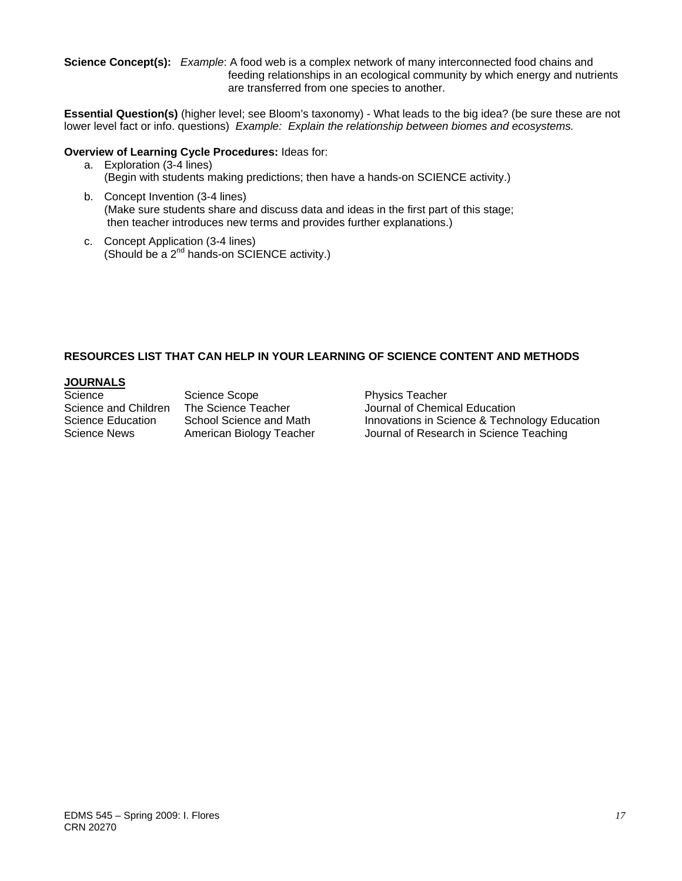**Science Concept(s):** *Example*: A food web is a complex network of many interconnected food chains and feeding relationships in an ecological community by which energy and nutrients are transferred from one species to another.

**Essential Question(s)** (higher level; see Bloom's taxonomy) - What leads to the big idea? (be sure these are not lower level fact or info. questions) *Example: Explain the relationship between biomes and ecosystems.* 

#### **Overview of Learning Cycle Procedures:** Ideas for:

- a. Exploration (3-4 lines) (Begin with students making predictions; then have a hands-on SCIENCE activity.)
- b. Concept Invention (3-4 lines) (Make sure students share and discuss data and ideas in the first part of this stage; then teacher introduces new terms and provides further explanations.)
- c. Concept Application (3-4 lines) (Should be a 2nd hands-on SCIENCE activity.)

## **RESOURCES LIST THAT CAN HELP IN YOUR LEARNING OF SCIENCE CONTENT AND METHODS**

# **JOURNALS**

Science Science Scope **Physics Teacher** 

Science and Children The Science Teacher **Journal of Chemical Education**<br>Science Education School Science and Math **Innovations in Science & Techr** Science Education School Science and Math Innovations in Science & Technology Education Science News American Biology Teacher Journal of Research in Science Teaching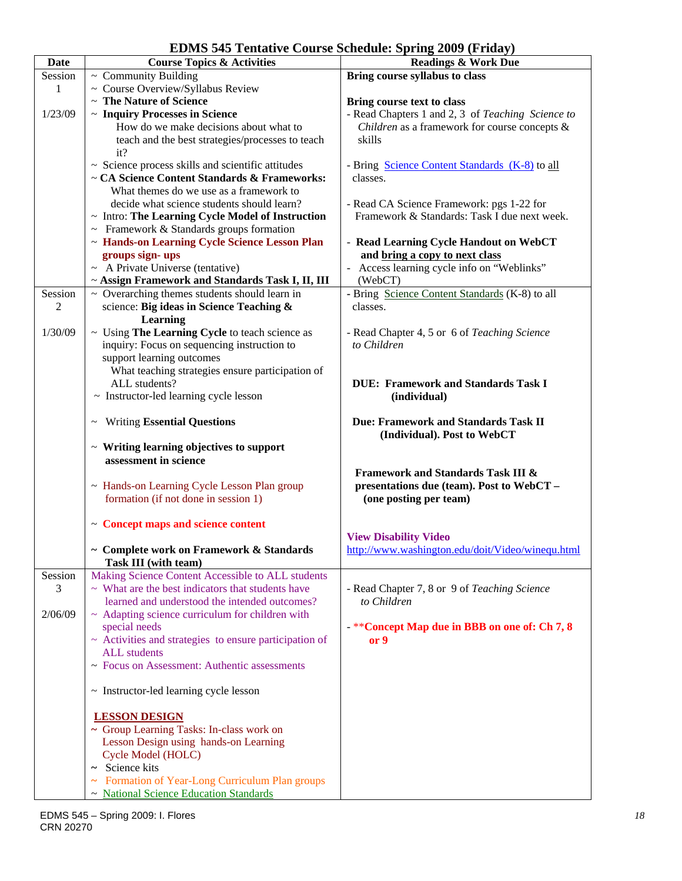**EDMS 545 Tentative Course Schedule: Spring 2009 (Friday)** 

| <b>Date</b> | <b>Course Topics &amp; Activities</b>                                         | EDMD 949 TURQUVU COUTSU DURQURI, DPHIIZ 2009 (FTRQY)<br><b>Readings &amp; Work Due</b> |
|-------------|-------------------------------------------------------------------------------|----------------------------------------------------------------------------------------|
| Session     | $\sim$ Community Building                                                     | Bring course syllabus to class                                                         |
| 1           | ~ Course Overview/Syllabus Review                                             |                                                                                        |
|             | ~ The Nature of Science                                                       | Bring course text to class                                                             |
| 1/23/09     | ~ Inquiry Processes in Science                                                | - Read Chapters 1 and 2, 3 of Teaching Science to                                      |
|             | How do we make decisions about what to                                        | Children as a framework for course concepts $\&$                                       |
|             | teach and the best strategies/processes to teach                              | skills                                                                                 |
|             | it?                                                                           |                                                                                        |
|             | ~ Science process skills and scientific attitudes                             | - Bring Science Content Standards (K-8) to all                                         |
|             | ~ CA Science Content Standards & Frameworks:                                  | classes.                                                                               |
|             | What themes do we use as a framework to                                       |                                                                                        |
|             | decide what science students should learn?                                    | - Read CA Science Framework: pgs 1-22 for                                              |
|             | ~ Intro: The Learning Cycle Model of Instruction                              | Framework & Standards: Task I due next week.                                           |
|             | $\sim$ Framework & Standards groups formation                                 |                                                                                        |
|             | ~ Hands-on Learning Cycle Science Lesson Plan                                 | - Read Learning Cycle Handout on WebCT                                                 |
|             | groups sign-ups                                                               | and bring a copy to next class                                                         |
|             | $~\sim~$ A Private Universe (tentative)                                       | - Access learning cycle info on "Weblinks"                                             |
|             | ~ Assign Framework and Standards Task I, II, III                              | (WebCT)                                                                                |
| Session     | $\sim$ Overarching themes students should learn in                            | - Bring Science Content Standards (K-8) to all                                         |
| 2           | science: Big ideas in Science Teaching &                                      | classes.                                                                               |
|             | Learning                                                                      |                                                                                        |
| 1/30/09     | ~ Using The Learning Cycle to teach science as                                | - Read Chapter 4, 5 or 6 of Teaching Science                                           |
|             | inquiry: Focus on sequencing instruction to                                   | to Children                                                                            |
|             | support learning outcomes                                                     |                                                                                        |
|             | What teaching strategies ensure participation of                              |                                                                                        |
|             | ALL students?                                                                 | <b>DUE: Framework and Standards Task I</b>                                             |
|             | ~ Instructor-led learning cycle lesson                                        | (individual)                                                                           |
|             |                                                                               |                                                                                        |
|             | <b>Writing Essential Questions</b><br>$\thicksim$                             | Due: Framework and Standards Task II                                                   |
|             |                                                                               | (Individual). Post to WebCT                                                            |
|             | $\sim$ Writing learning objectives to support                                 |                                                                                        |
|             | assessment in science                                                         |                                                                                        |
|             |                                                                               | <b>Framework and Standards Task III &amp;</b>                                          |
|             | ~ Hands-on Learning Cycle Lesson Plan group                                   | presentations due (team). Post to WebCT -                                              |
|             | formation (if not done in session 1)                                          | (one posting per team)                                                                 |
|             |                                                                               |                                                                                        |
|             | ~ Concept maps and science content                                            |                                                                                        |
|             |                                                                               | <b>View Disability Video</b>                                                           |
|             | ~ Complete work on Framework & Standards                                      | http://www.washington.edu/doit/Video/winequ.html                                       |
|             | Task III (with team)                                                          |                                                                                        |
| Session     | Making Science Content Accessible to ALL students                             |                                                                                        |
| 3           | $\sim$ What are the best indicators that students have                        | - Read Chapter 7, 8 or 9 of Teaching Science                                           |
|             | learned and understood the intended outcomes?                                 | to Children                                                                            |
| 2/06/09     | $\sim$ Adapting science curriculum for children with                          |                                                                                        |
|             | special needs                                                                 | - ** Concept Map due in BBB on one of: Ch 7, 8<br>or 9                                 |
|             | ~ Activities and strategies to ensure participation of<br><b>ALL</b> students |                                                                                        |
|             | ~ Focus on Assessment: Authentic assessments                                  |                                                                                        |
|             |                                                                               |                                                                                        |
|             | ~ Instructor-led learning cycle lesson                                        |                                                                                        |
|             |                                                                               |                                                                                        |
|             | <b>LESSON DESIGN</b>                                                          |                                                                                        |
|             | ~ Group Learning Tasks: In-class work on                                      |                                                                                        |
|             | Lesson Design using hands-on Learning                                         |                                                                                        |
|             | Cycle Model (HOLC)                                                            |                                                                                        |
|             | $\sim$ Science kits                                                           |                                                                                        |
|             | Formation of Year-Long Curriculum Plan groups<br>$\tilde{\phantom{a}}$        |                                                                                        |
|             | ~ National Science Education Standards                                        |                                                                                        |
|             |                                                                               |                                                                                        |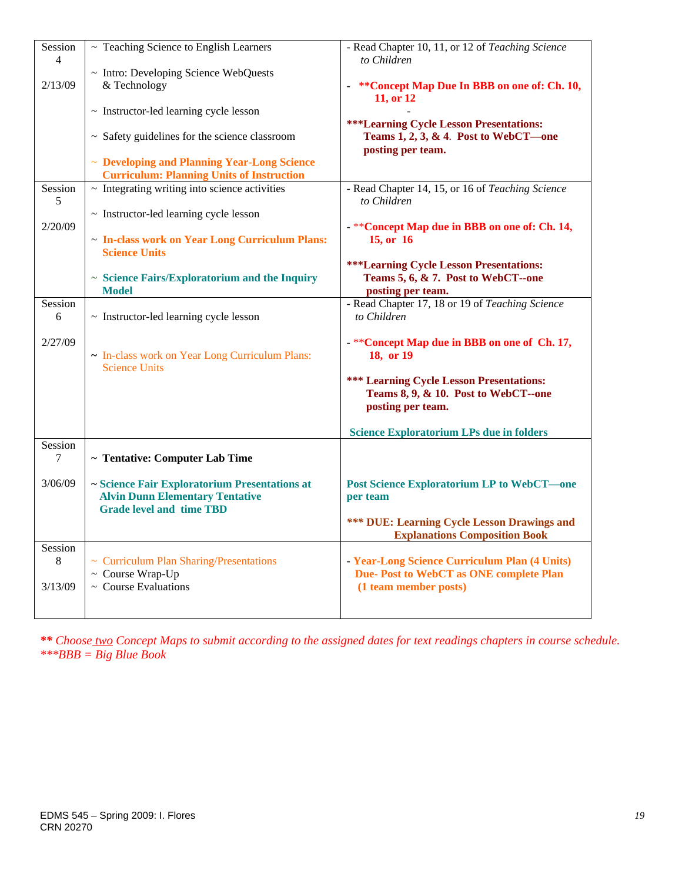| Session            | $\sim$ Teaching Science to English Learners                                                                                | - Read Chapter 10, 11, or 12 of Teaching Science                                                            |
|--------------------|----------------------------------------------------------------------------------------------------------------------------|-------------------------------------------------------------------------------------------------------------|
| $\overline{4}$     | ~ Intro: Developing Science WebQuests                                                                                      | to Children                                                                                                 |
| 2/13/09            | & Technology                                                                                                               | ** Concept Map Due In BBB on one of: Ch. 10,<br>11, or 12                                                   |
|                    | ~ Instructor-led learning cycle lesson                                                                                     |                                                                                                             |
|                    | $\sim$ Safety guidelines for the science classroom                                                                         | ***Learning Cycle Lesson Presentations:<br>Teams 1, 2, 3, & 4. Post to WebCT—one<br>posting per team.       |
|                    | ~ Developing and Planning Year-Long Science<br><b>Curriculum: Planning Units of Instruction</b>                            |                                                                                                             |
| Session<br>5       | $\sim$ Integrating writing into science activities                                                                         | - Read Chapter 14, 15, or 16 of Teaching Science<br>to Children                                             |
|                    | ~ Instructor-led learning cycle lesson                                                                                     |                                                                                                             |
| 2/20/09            | - In-class work on Year Long Curriculum Plans:<br><b>Science Units</b>                                                     | - ** Concept Map due in BBB on one of: Ch. 14,<br>15, or 16                                                 |
|                    | ~ Science Fairs/Exploratorium and the Inquiry<br><b>Model</b>                                                              | <b>***Learning Cycle Lesson Presentations:</b><br>Teams 5, 6, & 7. Post to WebCT--one<br>posting per team.  |
| Session            |                                                                                                                            | - Read Chapter 17, 18 or 19 of Teaching Science                                                             |
| 6                  | $\sim$ Instructor-led learning cycle lesson                                                                                | to Children                                                                                                 |
| 2/27/09            | - In-class work on Year Long Curriculum Plans:<br><b>Science Units</b>                                                     | -**Concept Map due in BBB on one of Ch. 17,<br>18, or 19<br><b>*** Learning Cycle Lesson Presentations:</b> |
|                    |                                                                                                                            | Teams 8, 9, & 10. Post to WebCT--one<br>posting per team.                                                   |
|                    |                                                                                                                            | <b>Science Exploratorium LPs due in folders</b>                                                             |
| Session<br>7       | ~ Tentative: Computer Lab Time                                                                                             |                                                                                                             |
| 3/06/09            | ~ Science Fair Exploratorium Presentations at<br><b>Alvin Dunn Elementary Tentative</b><br><b>Grade level and time TBD</b> | <b>Post Science Exploratorium LP to WebCT-one</b><br>per team                                               |
|                    |                                                                                                                            | <b>*** DUE: Learning Cycle Lesson Drawings and</b><br><b>Explanations Composition Book</b>                  |
| Session<br>$\,8\,$ | ~ Curriculum Plan Sharing/Presentations<br>~ Course Wrap-Up                                                                | - Year-Long Science Curriculum Plan (4 Units)<br>Due-Post to WebCT as ONE complete Plan                     |
| 3/13/09            | $\sim$ Course Evaluations                                                                                                  | (1 team member posts)                                                                                       |

*\*\* Choose two Concept Maps to submit according to the assigned dates for text readings chapters in course schedule. \*\*\*BBB = Big Blue Book*